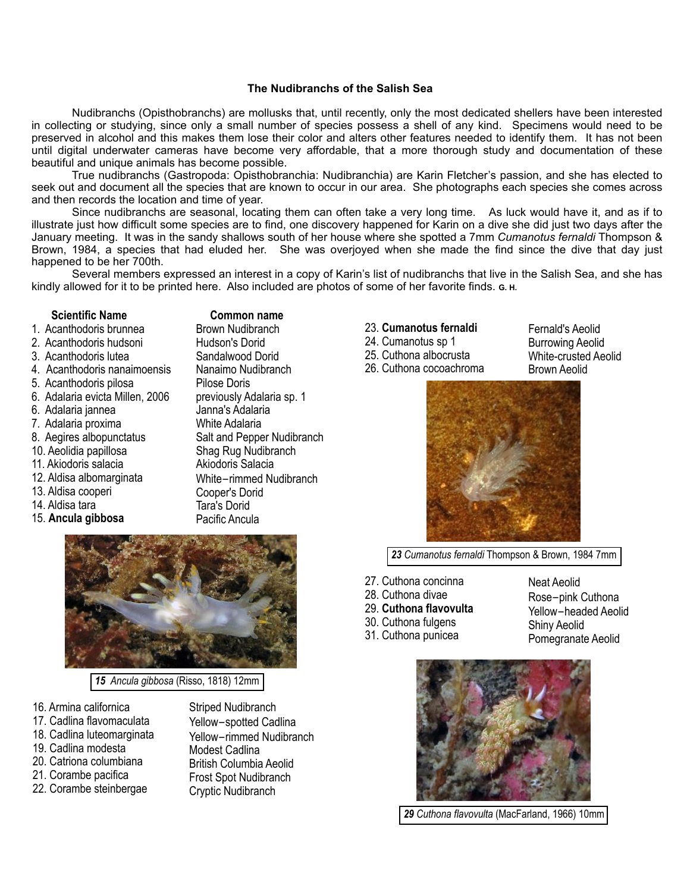## **The Nudibranchs of the Salish Sea**

 Nudibranchs (Opisthobranchs) are mollusks that, until recently, only the most dedicated shellers have been interested in collecting or studying, since only a small number of species possess a shell of any kind. Specimens would need to be preserved in alcohol and this makes them lose their color and alters other features needed to identify them. It has not been until digital underwater cameras have become very affordable, that a more thorough study and documentation of these beautiful and unique animals has become possible.

 True nudibranchs (Gastropoda: Opisthobranchia: Nudibranchia) are Karin Fletcher's passion, and she has elected to seek out and document all the species that are known to occur in our area. She photographs each species she comes across and then records the location and time of year.

 Since nudibranchs are seasonal, locating them can often take a very long time. As luck would have it, and as if to illustrate just how difficult some species are to find, one discovery happened for Karin on a dive she did just two days after the January meeting. It was in the sandy shallows south of her house where she spotted a 7mm *Cumanotus fernaldi* Thompson & Brown, 1984, a species that had eluded her. She was overjoyed when she made the find since the dive that day just happened to be her 700th.

 Several members expressed an interest in a copy of Karin's list of nudibranchs that live in the Salish Sea, and she has kindly allowed for it to be printed here. Also included are photos of some of her favorite finds. **G. H.**

## **Scientific Name**

- 1. Acanthodoris brunnea
- 2. Acanthodoris hudsoni
- 3. Acanthodoris lutea
- 4. Acanthodoris nanaimoensis
- 5. Acanthodoris pilosa
- 6. Adalaria evicta Millen, 2006
- 6. Adalaria jannea
- 7. Adalaria proxima
- 8. Aegires albopunctatus
- 10. Aeolidia papillosa
- 11. Akiodoris salacia
- 12. Aldisa albomarginata
- 13. Aldisa cooperi
- 14. Aldisa tara
- 15. **Ancula gibbosa**

 **Common name** Brown Nudibranch

Hudson's Dorid Sandalwood Dorid Nanaimo Nudibranch Pilose Doris previously Adalaria sp. 1 Janna's Adalaria White Adalaria Salt and Pepper Nudibranch Shag Rug Nudibranch Akiodoris Salacia White-rimmed Nudibranch Cooper's Dorid Tara's Dorid Pacific Ancula

23. **Cumanotus fernaldi** 24. Cumanotus sp 1

25. Cuthona albocrusta 26. Cuthona cocoachroma Fernald's Aeolid Burrowing Aeolid White-crusted Aeolid Brown Aeolid



*23 Cumanotus fernaldi* Thompson & Brown, 1984 7mm

- 27. Cuthona concinna
- 28. Cuthona divae
- 29. **Cuthona flavovulta**
- 30. Cuthona fulgens
- Rose-pink Cuthona Yellow-headed Aeolid

Neat Aeolid

- 31. Cuthona punicea
- Shiny Aeolid Pomegranate Aeolid



 *29 Cuthona flavovulta* (MacFarland, 1966) 10mm



- 16. Armina californica
- 17. Cadlina flavomaculata
- 18. Cadlina luteomarginata
- 19. Cadlina modesta
- 20. Catriona columbiana 21. Corambe pacifica
- 22. Corambe steinbergae
- Yellow-spotted Cadlina Yellow-rimmed Nudibranch Modest Cadlina British Columbia Aeolid Frost Spot Nudibranch Cryptic Nudibranch

Striped Nudibranch